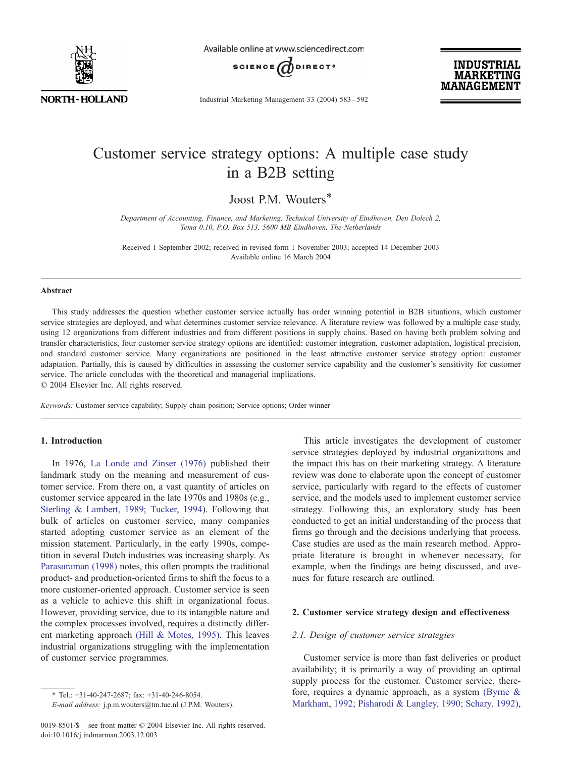

Available online at www.sciencedirect.com



Industrial Marketing Management 33 (2004) 583 – 592

**INDUSTRIAL MARKETING MANAGEMENT** 

# Customer service strategy options: A multiple case study in a B2B setting

Joost P.M. Wouters\*

Department of Accounting, Finance, and Marketing, Technical University of Eindhoven, Den Dolech 2, Tema 0.10, P.O. Box 513, 5600 MB Eindhoven, The Netherlands

Received 1 September 2002; received in revised form 1 November 2003; accepted 14 December 2003 Available online 16 March 2004

### Abstract

This study addresses the question whether customer service actually has order winning potential in B2B situations, which customer service strategies are deployed, and what determines customer service relevance. A literature review was followed by a multiple case study, using 12 organizations from different industries and from different positions in supply chains. Based on having both problem solving and transfer characteristics, four customer service strategy options are identified: customer integration, customer adaptation, logistical precision, and standard customer service. Many organizations are positioned in the least attractive customer service strategy option: customer adaptation. Partially, this is caused by difficulties in assessing the customer service capability and the customer's sensitivity for customer service. The article concludes with the theoretical and managerial implications.  $\odot$  2004 Elsevier Inc. All rights reserved.

Keywords: Customer service capability; Supply chain position; Service options; Order winner

## 1. Introduction

In 1976, [La Londe and Zinser \(1976\)](#page--1-0) published their landmark study on the meaning and measurement of customer service. From there on, a vast quantity of articles on customer service appeared in the late 1970s and 1980s (e.g., [Sterling & Lambert, 1989; Tucker, 1994\)](#page--1-0). Following that bulk of articles on customer service, many companies started adopting customer service as an element of the mission statement. Particularly, in the early 1990s, competition in several Dutch industries was increasing sharply. As [Parasuraman \(1998\)](#page--1-0) notes, this often prompts the traditional product- and production-oriented firms to shift the focus to a more customer-oriented approach. Customer service is seen as a vehicle to achieve this shift in organizational focus. However, providing service, due to its intangible nature and the complex processes involved, requires a distinctly different marketing approach [\(Hill & Motes, 1995\).](#page--1-0) This leaves industrial organizations struggling with the implementation of customer service programmes.

This article investigates the development of customer service strategies deployed by industrial organizations and the impact this has on their marketing strategy. A literature review was done to elaborate upon the concept of customer service, particularly with regard to the effects of customer service, and the models used to implement customer service strategy. Following this, an exploratory study has been conducted to get an initial understanding of the process that firms go through and the decisions underlying that process. Case studies are used as the main research method. Appropriate literature is brought in whenever necessary, for example, when the findings are being discussed, and avenues for future research are outlined.

### 2. Customer service strategy design and effectiveness

#### 2.1. Design of customer service strategies

Customer service is more than fast deliveries or product availability; it is primarily a way of providing an optimal supply process for the customer. Customer service, therefore, requires a dynamic approach, as a system [\(Byrne &](#page--1-0) Markham, 1992; Pisharodi & Langley, 1990; Schary, 1992),

<sup>\*</sup> Tel.: +31-40-247-2687; fax: +31-40-246-8054.

E-mail address: j.p.m.wouters@tm.tue.nl (J.P.M. Wouters).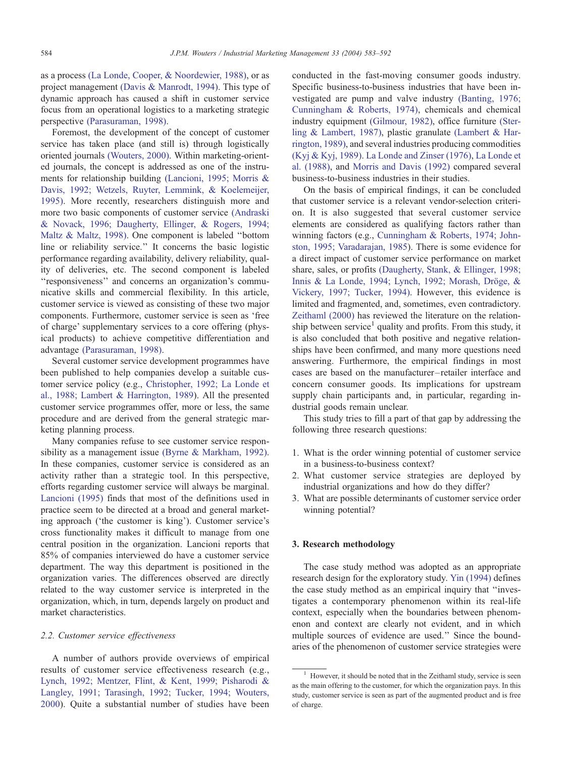as a process [\(La Londe, Cooper, & Noordewier, 1988\),](#page--1-0) or as project management [\(Davis & Manrodt, 1994\).](#page--1-0) This type of dynamic approach has caused a shift in customer service focus from an operational logistics to a marketing strategic perspective [\(Parasuraman, 1998\).](#page--1-0)

Foremost, the development of the concept of customer service has taken place (and still is) through logistically oriented journals [\(Wouters, 2000\).](#page--1-0) Within marketing-oriented journals, the concept is addressed as one of the instruments for relationship building [\(Lancioni, 1995; Morris &](#page--1-0) Davis, 1992; Wetzels, Ruyter, Lemmink, & Koelemeijer, 1995). More recently, researchers distinguish more and more two basic components of customer service [\(Andraski](#page--1-0) & Novack, 1996; Daugherty, Ellinger, & Rogers, 1994; Maltz & Maltz, 1998). One component is labeled ''bottom line or reliability service.'' It concerns the basic logistic performance regarding availability, delivery reliability, quality of deliveries, etc. The second component is labeled ''responsiveness'' and concerns an organization's communicative skills and commercial flexibility. In this article, customer service is viewed as consisting of these two major components. Furthermore, customer service is seen as 'free of charge' supplementary services to a core offering (physical products) to achieve competitive differentiation and advantage [\(Parasuraman, 1998\).](#page--1-0)

Several customer service development programmes have been published to help companies develop a suitable customer service policy (e.g., [Christopher, 1992; La Londe et](#page--1-0) al., 1988; Lambert & Harrington, 1989). All the presented customer service programmes offer, more or less, the same procedure and are derived from the general strategic marketing planning process.

Many companies refuse to see customer service responsibility as a management issue [\(Byrne & Markham, 1992\).](#page--1-0) In these companies, customer service is considered as an activity rather than a strategic tool. In this perspective, efforts regarding customer service will always be marginal. [Lancioni \(1995\)](#page--1-0) finds that most of the definitions used in practice seem to be directed at a broad and general marketing approach ('the customer is king'). Customer service's cross functionality makes it difficult to manage from one central position in the organization. Lancioni reports that 85% of companies interviewed do have a customer service department. The way this department is positioned in the organization varies. The differences observed are directly related to the way customer service is interpreted in the organization, which, in turn, depends largely on product and market characteristics.

#### 2.2. Customer service effectiveness

A number of authors provide overviews of empirical results of customer service effectiveness research (e.g., [Lynch, 1992; Mentzer, Flint, & Kent, 1999; Pisharodi &](#page--1-0) Langley, 1991; Tarasingh, 1992; Tucker, 1994; Wouters, 2000). Quite a substantial number of studies have been conducted in the fast-moving consumer goods industry. Specific business-to-business industries that have been investigated are pump and valve industry [\(Banting, 1976;](#page--1-0) Cunningham & Roberts, 1974), chemicals and chemical industry equipment [\(Gilmour, 1982\),](#page--1-0) office furniture [\(Ster](#page--1-0)ling & Lambert, 1987), plastic granulate [\(Lambert & Har](#page--1-0)rington, 1989), and several industries producing commodities [\(Kyj & Kyj, 1989\).](#page--1-0) [La Londe and Zinser \(1976\),](#page--1-0) [La Londe et](#page--1-0) al. (1988), and [Morris and Davis \(1992\)](#page--1-0) compared several business-to-business industries in their studies.

On the basis of empirical findings, it can be concluded that customer service is a relevant vendor-selection criterion. It is also suggested that several customer service elements are considered as qualifying factors rather than winning factors (e.g., [Cunningham & Roberts, 1974; John](#page--1-0)ston, 1995; Varadarajan, 1985). There is some evidence for a direct impact of customer service performance on market share, sales, or profits [\(Daugherty, Stank, & Ellinger, 1998;](#page--1-0) Innis & La Londe, 1994; Lynch, 1992; Morash, Dröge, & Vickery, 1997; Tucker, 1994). However, this evidence is limited and fragmented, and, sometimes, even contradictory. [Zeithaml \(2000\)](#page--1-0) has reviewed the literature on the relationship between service<sup>1</sup> quality and profits. From this study, it is also concluded that both positive and negative relationships have been confirmed, and many more questions need answering. Furthermore, the empirical findings in most cases are based on the manufacturer – retailer interface and concern consumer goods. Its implications for upstream supply chain participants and, in particular, regarding industrial goods remain unclear.

This study tries to fill a part of that gap by addressing the following three research questions:

- 1. What is the order winning potential of customer service in a business-to-business context?
- 2. What customer service strategies are deployed by industrial organizations and how do they differ?
- 3. What are possible determinants of customer service order winning potential?

## 3. Research methodology

The case study method was adopted as an appropriate research design for the exploratory study. [Yin \(1994\)](#page--1-0) defines the case study method as an empirical inquiry that ''investigates a contemporary phenomenon within its real-life context, especially when the boundaries between phenomenon and context are clearly not evident, and in which multiple sources of evidence are used.'' Since the boundaries of the phenomenon of customer service strategies were

<sup>1</sup> However, it should be noted that in the Zeithaml study, service is seen as the main offering to the customer, for which the organization pays. In this study, customer service is seen as part of the augmented product and is free of charge.